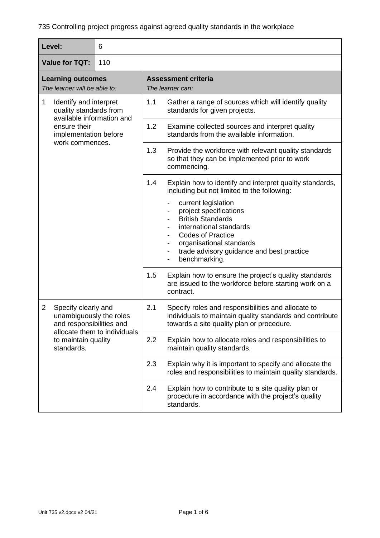| Level:                                                   |                                                                                                                                                 | 6                                              |     |                                                                                                                                                                                                                            |
|----------------------------------------------------------|-------------------------------------------------------------------------------------------------------------------------------------------------|------------------------------------------------|-----|----------------------------------------------------------------------------------------------------------------------------------------------------------------------------------------------------------------------------|
| <b>Value for TQT:</b><br>110                             |                                                                                                                                                 |                                                |     |                                                                                                                                                                                                                            |
| <b>Learning outcomes</b><br>The learner will be able to: |                                                                                                                                                 | <b>Assessment criteria</b><br>The learner can: |     |                                                                                                                                                                                                                            |
| $\mathbf{1}$                                             | Identify and interpret<br>quality standards from<br>available information and<br>ensure their<br>implementation before<br>work commences.       |                                                | 1.1 | Gather a range of sources which will identify quality<br>standards for given projects.                                                                                                                                     |
|                                                          |                                                                                                                                                 |                                                | 1.2 | Examine collected sources and interpret quality<br>standards from the available information.                                                                                                                               |
|                                                          |                                                                                                                                                 |                                                | 1.3 | Provide the workforce with relevant quality standards<br>so that they can be implemented prior to work<br>commencing.                                                                                                      |
|                                                          |                                                                                                                                                 |                                                | 1.4 | Explain how to identify and interpret quality standards,<br>including but not limited to the following:                                                                                                                    |
|                                                          |                                                                                                                                                 |                                                |     | current legislation<br>project specifications<br><b>British Standards</b><br>international standards<br><b>Codes of Practice</b><br>organisational standards<br>trade advisory guidance and best practice<br>benchmarking. |
|                                                          |                                                                                                                                                 |                                                | 1.5 | Explain how to ensure the project's quality standards<br>are issued to the workforce before starting work on a<br>contract.                                                                                                |
| $\overline{2}$                                           | Specify clearly and<br>unambiguously the roles<br>and responsibilities and<br>allocate them to individuals<br>to maintain quality<br>standards. |                                                | 2.1 | Specify roles and responsibilities and allocate to<br>individuals to maintain quality standards and contribute<br>towards a site quality plan or procedure.                                                                |
|                                                          |                                                                                                                                                 |                                                | 2.2 | Explain how to allocate roles and responsibilities to<br>maintain quality standards.                                                                                                                                       |
|                                                          |                                                                                                                                                 |                                                | 2.3 | Explain why it is important to specify and allocate the<br>roles and responsibilities to maintain quality standards.                                                                                                       |
|                                                          |                                                                                                                                                 |                                                | 2.4 | Explain how to contribute to a site quality plan or<br>procedure in accordance with the project's quality<br>standards.                                                                                                    |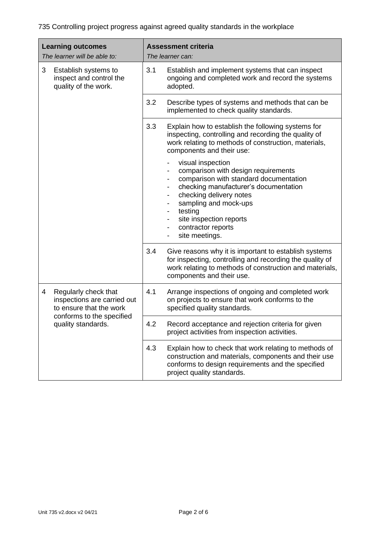| <b>Learning outcomes</b><br>The learner will be able to: |                                                                                                                                   | <b>Assessment criteria</b><br>The learner can: |                                                                                                                                                                                                                                                                                                                                        |
|----------------------------------------------------------|-----------------------------------------------------------------------------------------------------------------------------------|------------------------------------------------|----------------------------------------------------------------------------------------------------------------------------------------------------------------------------------------------------------------------------------------------------------------------------------------------------------------------------------------|
| 3                                                        | Establish systems to<br>inspect and control the<br>quality of the work.                                                           | 3.1                                            | Establish and implement systems that can inspect<br>ongoing and completed work and record the systems<br>adopted.                                                                                                                                                                                                                      |
|                                                          |                                                                                                                                   | 3.2                                            | Describe types of systems and methods that can be<br>implemented to check quality standards.                                                                                                                                                                                                                                           |
|                                                          |                                                                                                                                   | 3.3                                            | Explain how to establish the following systems for<br>inspecting, controlling and recording the quality of<br>work relating to methods of construction, materials,<br>components and their use:                                                                                                                                        |
|                                                          |                                                                                                                                   |                                                | visual inspection<br>-<br>comparison with design requirements<br>comparison with standard documentation<br>checking manufacturer's documentation<br>checking delivery notes<br>-<br>sampling and mock-ups<br>testing<br>$\qquad \qquad \blacksquare$<br>site inspection reports<br>-<br>contractor reports<br>-<br>site meetings.<br>- |
|                                                          |                                                                                                                                   | 3.4                                            | Give reasons why it is important to establish systems<br>for inspecting, controlling and recording the quality of<br>work relating to methods of construction and materials,<br>components and their use.                                                                                                                              |
| 4                                                        | Regularly check that<br>inspections are carried out<br>to ensure that the work<br>conforms to the specified<br>quality standards. | 4.1                                            | Arrange inspections of ongoing and completed work<br>on projects to ensure that work conforms to the<br>specified quality standards.                                                                                                                                                                                                   |
|                                                          |                                                                                                                                   | 4.2                                            | Record acceptance and rejection criteria for given<br>project activities from inspection activities.                                                                                                                                                                                                                                   |
|                                                          |                                                                                                                                   | 4.3                                            | Explain how to check that work relating to methods of<br>construction and materials, components and their use<br>conforms to design requirements and the specified<br>project quality standards.                                                                                                                                       |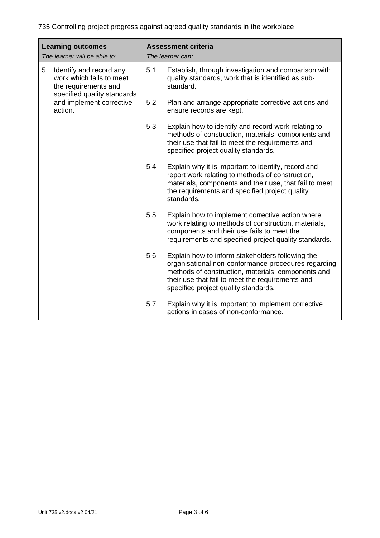| <b>Learning outcomes</b><br>The learner will be able to:                         |     | <b>Assessment criteria</b><br>The learner can:                                                                                                                                                                                                            |  |
|----------------------------------------------------------------------------------|-----|-----------------------------------------------------------------------------------------------------------------------------------------------------------------------------------------------------------------------------------------------------------|--|
| 5<br>Identify and record any<br>work which fails to meet<br>the requirements and | 5.1 | Establish, through investigation and comparison with<br>quality standards, work that is identified as sub-<br>standard.                                                                                                                                   |  |
| specified quality standards<br>and implement corrective<br>action.               | 5.2 | Plan and arrange appropriate corrective actions and<br>ensure records are kept.                                                                                                                                                                           |  |
|                                                                                  | 5.3 | Explain how to identify and record work relating to<br>methods of construction, materials, components and<br>their use that fail to meet the requirements and<br>specified project quality standards.                                                     |  |
|                                                                                  | 5.4 | Explain why it is important to identify, record and<br>report work relating to methods of construction,<br>materials, components and their use, that fail to meet<br>the requirements and specified project quality<br>standards.                         |  |
|                                                                                  | 5.5 | Explain how to implement corrective action where<br>work relating to methods of construction, materials,<br>components and their use fails to meet the<br>requirements and specified project quality standards.                                           |  |
|                                                                                  | 5.6 | Explain how to inform stakeholders following the<br>organisational non-conformance procedures regarding<br>methods of construction, materials, components and<br>their use that fail to meet the requirements and<br>specified project quality standards. |  |
|                                                                                  | 5.7 | Explain why it is important to implement corrective<br>actions in cases of non-conformance.                                                                                                                                                               |  |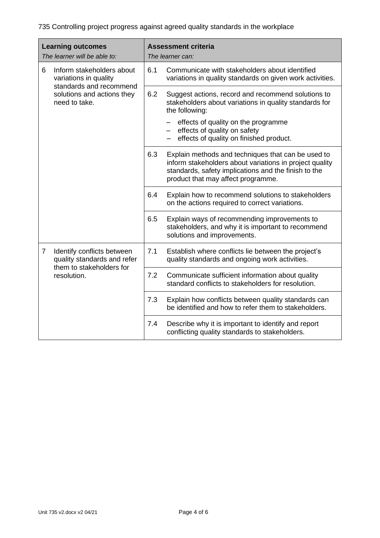| <b>Learning outcomes</b><br>The learner will be able to: |                                                                                                                              | <b>Assessment criteria</b><br>The learner can: |                                                                                                                                                                                                             |
|----------------------------------------------------------|------------------------------------------------------------------------------------------------------------------------------|------------------------------------------------|-------------------------------------------------------------------------------------------------------------------------------------------------------------------------------------------------------------|
| 6                                                        | Inform stakeholders about<br>variations in quality<br>standards and recommend<br>solutions and actions they<br>need to take. | 6.1                                            | Communicate with stakeholders about identified<br>variations in quality standards on given work activities.                                                                                                 |
|                                                          |                                                                                                                              | 6.2                                            | Suggest actions, record and recommend solutions to<br>stakeholders about variations in quality standards for<br>the following:                                                                              |
|                                                          |                                                                                                                              |                                                | effects of quality on the programme<br>effects of quality on safety<br>effects of quality on finished product.                                                                                              |
|                                                          |                                                                                                                              | 6.3                                            | Explain methods and techniques that can be used to<br>inform stakeholders about variations in project quality<br>standards, safety implications and the finish to the<br>product that may affect programme. |
|                                                          |                                                                                                                              | 6.4                                            | Explain how to recommend solutions to stakeholders<br>on the actions required to correct variations.                                                                                                        |
|                                                          |                                                                                                                              | 6.5                                            | Explain ways of recommending improvements to<br>stakeholders, and why it is important to recommend<br>solutions and improvements.                                                                           |
| $\overline{7}$                                           | Identify conflicts between<br>quality standards and refer<br>them to stakeholders for<br>resolution.                         | 7.1                                            | Establish where conflicts lie between the project's<br>quality standards and ongoing work activities.                                                                                                       |
|                                                          |                                                                                                                              | 7.2                                            | Communicate sufficient information about quality<br>standard conflicts to stakeholders for resolution.                                                                                                      |
|                                                          |                                                                                                                              | 7.3                                            | Explain how conflicts between quality standards can<br>be identified and how to refer them to stakeholders.                                                                                                 |
|                                                          |                                                                                                                              | 7.4                                            | Describe why it is important to identify and report<br>conflicting quality standards to stakeholders.                                                                                                       |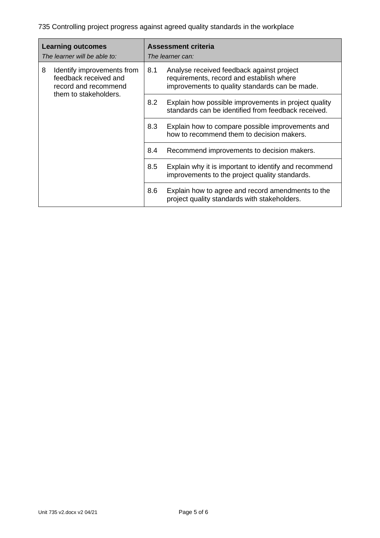| <b>Learning outcomes</b><br>The learner will be able to: |                                                                                                      | <b>Assessment criteria</b><br>The learner can: |                                                                                                                                         |
|----------------------------------------------------------|------------------------------------------------------------------------------------------------------|------------------------------------------------|-----------------------------------------------------------------------------------------------------------------------------------------|
| 8                                                        | Identify improvements from<br>feedback received and<br>record and recommend<br>them to stakeholders. | 8.1                                            | Analyse received feedback against project<br>requirements, record and establish where<br>improvements to quality standards can be made. |
|                                                          |                                                                                                      | 8.2                                            | Explain how possible improvements in project quality<br>standards can be identified from feedback received.                             |
|                                                          |                                                                                                      | 8.3                                            | Explain how to compare possible improvements and<br>how to recommend them to decision makers.                                           |
|                                                          |                                                                                                      | 8.4                                            | Recommend improvements to decision makers.                                                                                              |
|                                                          |                                                                                                      | 8.5                                            | Explain why it is important to identify and recommend<br>improvements to the project quality standards.                                 |
|                                                          |                                                                                                      | 8.6                                            | Explain how to agree and record amendments to the<br>project quality standards with stakeholders.                                       |